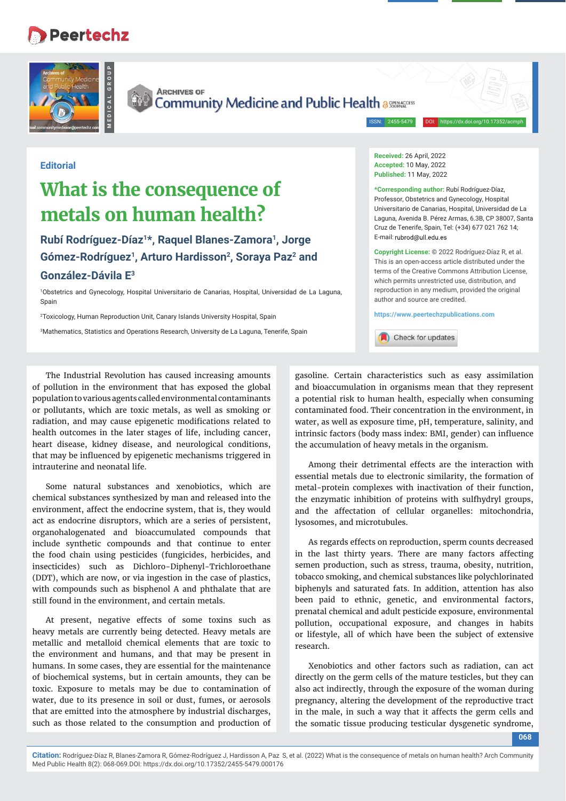## **Peertechz**





**MEDICAL GROUP**

**ARCHIVES OF** Community Medicine and Public Health assessed

ISSN: 2455-5479

## **Editorial**

## **What is the consequence of metals on human health?**

**Rubí Rodríguez-Díaz1\*, Raquel Blanes-Zamora1, Jorge**  Gómez-Rodríguez<sup>1</sup>, Arturo Hardisson<sup>2</sup>, Soraya Paz<sup>2</sup> and **González-Dávila E3**

1 Obstetrics and Gynecology, Hospital Universitario de Canarias, Hospital, Universidad de La Laguna, Spain

2 Toxicology, Human Reproduction Unit, Canary Islands University Hospital, Spain

3 Mathematics, Statistics and Operations Research, University de La Laguna, Tenerife, Spain

**Received:** 26 April, 2022 **Accepted:** 10 May, 2022 **Published:** 11 May, 2022

**\*Corresponding author:** Rubí Rodríguez-Díaz, Professor, Obstetrics and Gynecology, Hospital Universitario de Canarias, Hospital, Universidad de La Laguna, Avenida B. Pérez Armas, 6.3B, CP 38007, Santa Cruz de Tenerife, Spain, Tel: (+34) 677 021 762 14; E-mail: rubrod@ull.edu.es

**Copyright License:** © 2022 Rodríguez-Díaz R, et al. This is an open-access article distributed under the terms of the Creative Commons Attribution License, which permits unrestricted use, distribution, and reproduction in any medium, provided the original author and source are credited.

**https://www.peertechzpublications.com**



The Industrial Revolution has caused increasing amounts of pollution in the environment that has exposed the global population to various agents called environmental contaminants or pollutants, which are toxic metals, as well as smoking or radiation, and may cause epigenetic modifications related to health outcomes in the later stages of life, including cancer, heart disease, kidney disease, and neurological conditions, that may be influenced by epigenetic mechanisms triggered in intrauterine and neonatal life.

Some natural substances and xenobiotics, which are chemical substances synthesized by man and released into the environment, affect the endocrine system, that is, they would act as endocrine disruptors, which are a series of persistent, organohalogenated and bioaccumulated compounds that include synthetic compounds and that continue to enter the food chain using pesticides (fungicides, herbicides, and insecticides) such as Dichloro-Diphenyl-Trichloroethane (DDT), which are now, or via ingestion in the case of plastics, with compounds such as bisphenol A and phthalate that are still found in the environment, and certain metals.

At present, negative effects of some toxins such as heavy metals are currently being detected. Heavy metals are metallic and metalloid chemical elements that are toxic to the environment and humans, and that may be present in humans. In some cases, they are essential for the maintenance of biochemical systems, but in certain amounts, they can be toxic. Exposure to metals may be due to contamination of water, due to its presence in soil or dust, fumes, or aerosols that are emitted into the atmosphere by industrial discharges, such as those related to the consumption and production of

gasoline. Certain characteristics such as easy assimilation and bioaccumulation in organisms mean that they represent a potential risk to human health, especially when consuming contaminated food. Their concentration in the environment, in water, as well as exposure time, pH, temperature, salinity, and intrinsic factors (body mass index: BMI, gender) can influence the accumulation of heavy metals in the organism.

Among their detrimental effects are the interaction with essential metals due to electronic similarity, the formation of metal-protein complexes with inactivation of their function, the enzymatic inhibition of proteins with sulfhydryl groups, and the affectation of cellular organelles: mitochondria, lysosomes, and microtubules.

As regards effects on reproduction, sperm counts decreased in the last thirty years. There are many factors affecting semen production, such as stress, trauma, obesity, nutrition, tobacco smoking, and chemical substances like polychlorinated biphenyls and saturated fats. In addition, attention has also been paid to ethnic, genetic, and environmental factors, prenatal chemical and adult pesticide exposure, environmental pollution, occupational exposure, and changes in habits or lifestyle, all of which have been the subject of extensive research.

Xenobiotics and other factors such as radiation, can act directly on the germ cells of the mature testicles, but they can also act indirectly, through the exposure of the woman during pregnancy, altering the development of the reproductive tract in the male, in such a way that it affects the germ cells and the somatic tissue producing testicular dysgenetic syndrome,

**Citation:** Rodríguez-Díaz R, Blanes-Zamora R, Gómez-Rodríguez J, Hardisson A, Paz S, et al. (2022) What is the consequence of metals on human health? Arch Community Med Public Health 8(2): 068-069.DOI: https://dx.doi.org/10.17352/2455-5479.000176